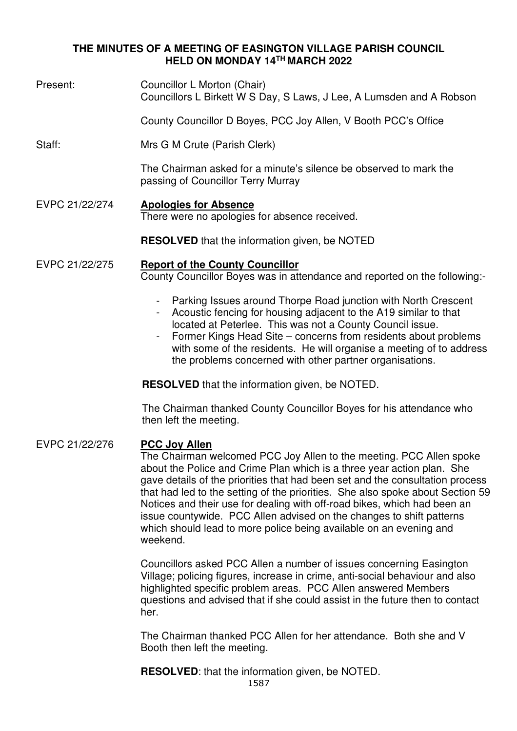# **THE MINUTES OF A MEETING OF EASINGTON VILLAGE PARISH COUNCIL HELD ON MONDAY 14TH MARCH 2022**

Present: Councillor L Morton (Chair) Councillors L Birkett W S Day, S Laws, J Lee, A Lumsden and A Robson

County Councillor D Boyes, PCC Joy Allen, V Booth PCC's Office

Staff: Mrs G M Crute (Parish Clerk)

The Chairman asked for a minute's silence be observed to mark the passing of Councillor Terry Murray

- EVPC 21/22/274 **Apologies for Absence** There were no apologies for absence received.
	- **RESOLVED** that the information given, be NOTED

#### EVPC 21/22/275 **Report of the County Councillor** County Councillor Boyes was in attendance and reported on the following:-

- Parking Issues around Thorpe Road junction with North Crescent
- Acoustic fencing for housing adjacent to the A19 similar to that located at Peterlee. This was not a County Council issue.
- Former Kings Head Site concerns from residents about problems with some of the residents. He will organise a meeting of to address the problems concerned with other partner organisations.

**RESOLVED** that the information given, be NOTED.

The Chairman thanked County Councillor Boyes for his attendance who then left the meeting.

# EVPC 21/22/276 **PCC Joy Allen**

The Chairman welcomed PCC Joy Allen to the meeting. PCC Allen spoke about the Police and Crime Plan which is a three year action plan. She gave details of the priorities that had been set and the consultation process that had led to the setting of the priorities. She also spoke about Section 59 Notices and their use for dealing with off-road bikes, which had been an issue countywide. PCC Allen advised on the changes to shift patterns which should lead to more police being available on an evening and weekend.

Councillors asked PCC Allen a number of issues concerning Easington Village; policing figures, increase in crime, anti-social behaviour and also highlighted specific problem areas. PCC Allen answered Members questions and advised that if she could assist in the future then to contact her.

The Chairman thanked PCC Allen for her attendance. Both she and V Booth then left the meeting.

**RESOLVED**: that the information given, be NOTED.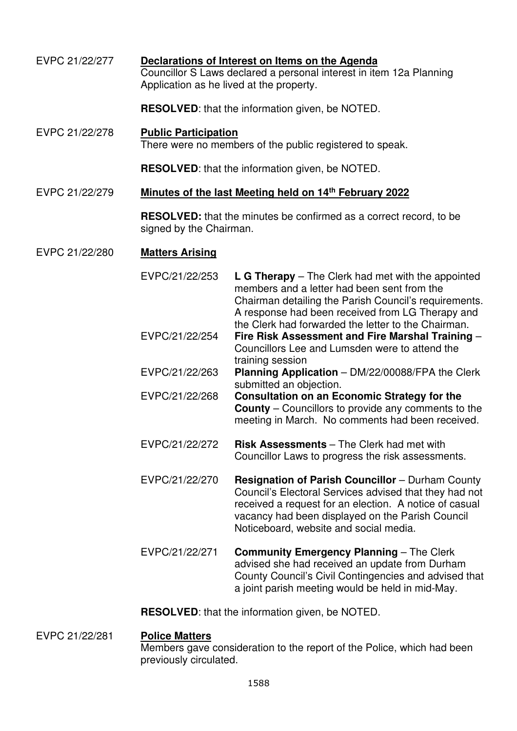| EVPC 21/22/277 | Declarations of Interest on Items on the Agenda<br>Councillor S Laws declared a personal interest in item 12a Planning<br>Application as he lived at the property. |                                                                                                                                                                                                                                                                           |  |  |
|----------------|--------------------------------------------------------------------------------------------------------------------------------------------------------------------|---------------------------------------------------------------------------------------------------------------------------------------------------------------------------------------------------------------------------------------------------------------------------|--|--|
|                | <b>RESOLVED:</b> that the information given, be NOTED.                                                                                                             |                                                                                                                                                                                                                                                                           |  |  |
| EVPC 21/22/278 | <b>Public Participation</b><br>There were no members of the public registered to speak.                                                                            |                                                                                                                                                                                                                                                                           |  |  |
|                | <b>RESOLVED:</b> that the information given, be NOTED.                                                                                                             |                                                                                                                                                                                                                                                                           |  |  |
| EVPC 21/22/279 | Minutes of the last Meeting held on 14th February 2022                                                                                                             |                                                                                                                                                                                                                                                                           |  |  |
|                | <b>RESOLVED:</b> that the minutes be confirmed as a correct record, to be<br>signed by the Chairman.                                                               |                                                                                                                                                                                                                                                                           |  |  |
| EVPC 21/22/280 | <b>Matters Arising</b>                                                                                                                                             |                                                                                                                                                                                                                                                                           |  |  |
|                | EVPC/21/22/253                                                                                                                                                     | $L$ G Therapy – The Clerk had met with the appointed<br>members and a letter had been sent from the<br>Chairman detailing the Parish Council's requirements.<br>A response had been received from LG Therapy and<br>the Clerk had forwarded the letter to the Chairman.   |  |  |
|                | EVPC/21/22/254                                                                                                                                                     | Fire Risk Assessment and Fire Marshal Training -<br>Councillors Lee and Lumsden were to attend the<br>training session                                                                                                                                                    |  |  |
|                | EVPC/21/22/263                                                                                                                                                     | Planning Application - DM/22/00088/FPA the Clerk<br>submitted an objection.                                                                                                                                                                                               |  |  |
|                | EVPC/21/22/268                                                                                                                                                     | <b>Consultation on an Economic Strategy for the</b><br><b>County</b> – Councillors to provide any comments to the<br>meeting in March. No comments had been received.                                                                                                     |  |  |
|                | EVPC/21/22/272                                                                                                                                                     | Risk Assessments - The Clerk had met with<br>Councillor Laws to progress the risk assessments.                                                                                                                                                                            |  |  |
|                | EVPC/21/22/270                                                                                                                                                     | <b>Resignation of Parish Councillor</b> – Durham County<br>Council's Electoral Services advised that they had not<br>received a request for an election. A notice of casual<br>vacancy had been displayed on the Parish Council<br>Noticeboard, website and social media. |  |  |
|                | EVPC/21/22/271                                                                                                                                                     | <b>Community Emergency Planning - The Clerk</b><br>advised she had received an update from Durham<br>County Council's Civil Contingencies and advised that<br>a joint parish meeting would be held in mid-May.                                                            |  |  |

**RESOLVED**: that the information given, be NOTED.

EVPC 21/22/281 **Police Matters**  Members gave consideration to the report of the Police, which had been previously circulated.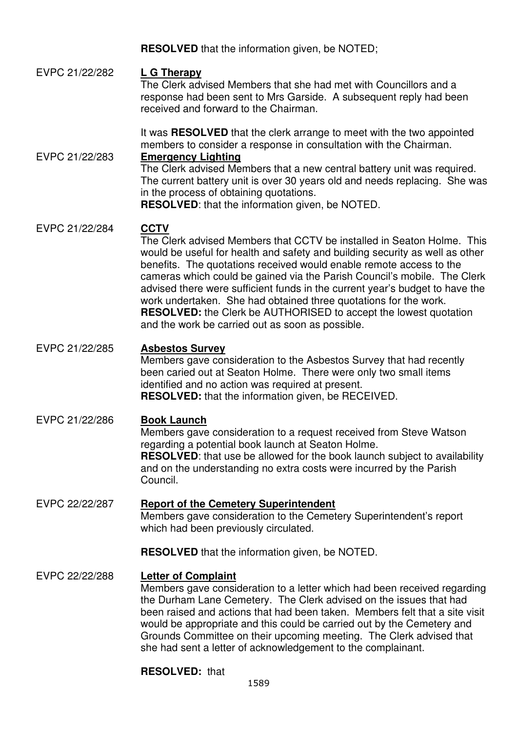**RESOLVED** that the information given, be NOTED;

# EVPC 21/22/282 **L G Therapy**

The Clerk advised Members that she had met with Councillors and a response had been sent to Mrs Garside. A subsequent reply had been received and forward to the Chairman.

It was **RESOLVED** that the clerk arrange to meet with the two appointed members to consider a response in consultation with the Chairman.

### EVPC 21/22/283 **Emergency Lighting**

The Clerk advised Members that a new central battery unit was required. The current battery unit is over 30 years old and needs replacing. She was in the process of obtaining quotations.

**RESOLVED**: that the information given, be NOTED.

# EVPC 21/22/284 **CCTV**

The Clerk advised Members that CCTV be installed in Seaton Holme. This would be useful for health and safety and building security as well as other benefits. The quotations received would enable remote access to the cameras which could be gained via the Parish Council's mobile. The Clerk advised there were sufficient funds in the current year's budget to have the work undertaken. She had obtained three quotations for the work. **RESOLVED:** the Clerk be AUTHORISED to accept the lowest quotation and the work be carried out as soon as possible.

## EVPC 21/22/285 **Asbestos Survey**

Members gave consideration to the Asbestos Survey that had recently been caried out at Seaton Holme. There were only two small items identified and no action was required at present. **RESOLVED:** that the information given, be RECEIVED.

# EVPC 21/22/286 **Book Launch**

Members gave consideration to a request received from Steve Watson regarding a potential book launch at Seaton Holme. **RESOLVED:** that use be allowed for the book launch subject to availability and on the understanding no extra costs were incurred by the Parish Council.

# EVPC 22/22/287 **Report of the Cemetery Superintendent**

Members gave consideration to the Cemetery Superintendent's report which had been previously circulated.

**RESOLVED** that the information given, be NOTED.

# EVPC 22/22/288 **Letter of Complaint**

Members gave consideration to a letter which had been received regarding the Durham Lane Cemetery. The Clerk advised on the issues that had been raised and actions that had been taken. Members felt that a site visit would be appropriate and this could be carried out by the Cemetery and Grounds Committee on their upcoming meeting. The Clerk advised that she had sent a letter of acknowledgement to the complainant.

# **RESOLVED:** that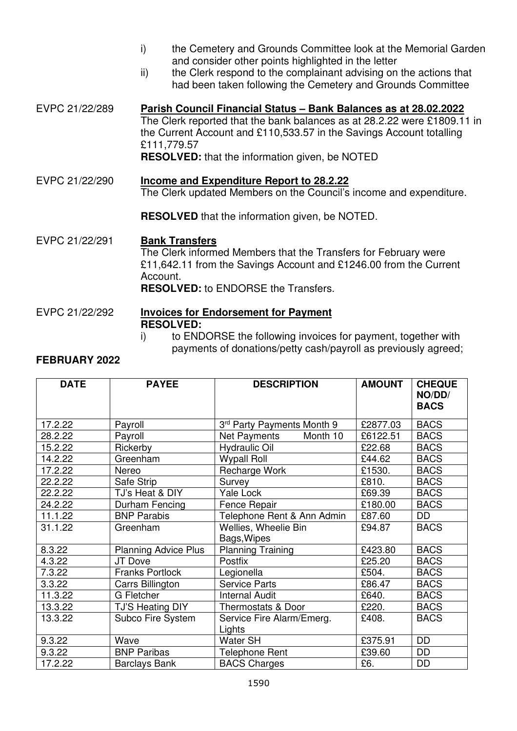- i) the Cemetery and Grounds Committee look at the Memorial Garden and consider other points highlighted in the letter
- ii) the Clerk respond to the complainant advising on the actions that had been taken following the Cemetery and Grounds Committee
- EVPC 21/22/289 **Parish Council Financial Status Bank Balances as at 28.02.2022** The Clerk reported that the bank balances as at 28.2.22 were £1809.11 in the Current Account and £110,533.57 in the Savings Account totalling £111,779.57 **RESOLVED:** that the information given, be NOTED

EVPC 21/22/290 **Income and Expenditure Report to 28.2.22**  The Clerk updated Members on the Council's income and expenditure.

**RESOLVED** that the information given, be NOTED.

EVPC 21/22/291 **Bank Transfers** The Clerk informed Members that the Transfers for February were £11,642.11 from the Savings Account and £1246.00 from the Current Account. **RESOLVED:** to ENDORSE the Transfers.

EVPC 21/22/292 **Invoices for Endorsement for Payment**

**RESOLVED:** 

# i) to ENDORSE the following invoices for payment, together with payments of donations/petty cash/payroll as previously agreed;

# **FEBRUARY 2022**

| <b>DATE</b> | <b>PAYEE</b>                | <b>DESCRIPTION</b>                  | <b>AMOUNT</b> | <b>CHEQUE</b><br>NO/DD/<br><b>BACS</b> |
|-------------|-----------------------------|-------------------------------------|---------------|----------------------------------------|
| 17.2.22     | Payroll                     | 3rd Party Payments Month 9          | £2877.03      | <b>BACS</b>                            |
| 28.2.22     | Payroll                     | Net Payments<br>Month 10            | £6122.51      | <b>BACS</b>                            |
| 15.2.22     | Rickerby                    | <b>Hydraulic Oil</b>                | £22.68        | <b>BACS</b>                            |
| 14.2.22     | Greenham                    | <b>Wypall Roll</b>                  | £44.62        | <b>BACS</b>                            |
| 17.2.22     | Nereo                       | Recharge Work                       | £1530.        | <b>BACS</b>                            |
| 22.2.22     | Safe Strip                  | Survey                              | £810.         | <b>BACS</b>                            |
| 22.2.22     | TJ's Heat & DIY             | Yale Lock                           | £69.39        | <b>BACS</b>                            |
| 24.2.22     | Durham Fencing              | Fence Repair                        | £180.00       | <b>BACS</b>                            |
| 11.1.22     | <b>BNP Parabis</b>          | Telephone Rent & Ann Admin          | £87.60        | DD                                     |
| 31.1.22     | Greenham                    | Wellies, Wheelie Bin<br>Bags, Wipes | £94.87        | <b>BACS</b>                            |
| 8.3.22      | <b>Planning Advice Plus</b> | <b>Planning Training</b>            | £423.80       | <b>BACS</b>                            |
| 4.3.22      | JT Dove                     | Postfix                             | £25.20        | <b>BACS</b>                            |
| 7.3.22      | <b>Franks Portlock</b>      | Legionella                          | £504.         | <b>BACS</b>                            |
| 3.3.22      | Carrs Billington            | <b>Service Parts</b>                | £86.47        | <b>BACS</b>                            |
| 11.3.22     | <b>G</b> Fletcher           | <b>Internal Audit</b>               | £640.         | <b>BACS</b>                            |
| 13.3.22     | TJ'S Heating DIY            | Thermostats & Door                  | £220.         | <b>BACS</b>                            |
| 13.3.22     | Subco Fire System           | Service Fire Alarm/Emerg.<br>Lights | £408.         | <b>BACS</b>                            |
| 9.3.22      | Wave                        | <b>Water SH</b>                     | £375.91       | DD                                     |
| 9.3.22      | <b>BNP Paribas</b>          | <b>Telephone Rent</b>               | £39.60        | <b>DD</b>                              |
| 17.2.22     | <b>Barclays Bank</b>        | <b>BACS Charges</b>                 | £6.           | <b>DD</b>                              |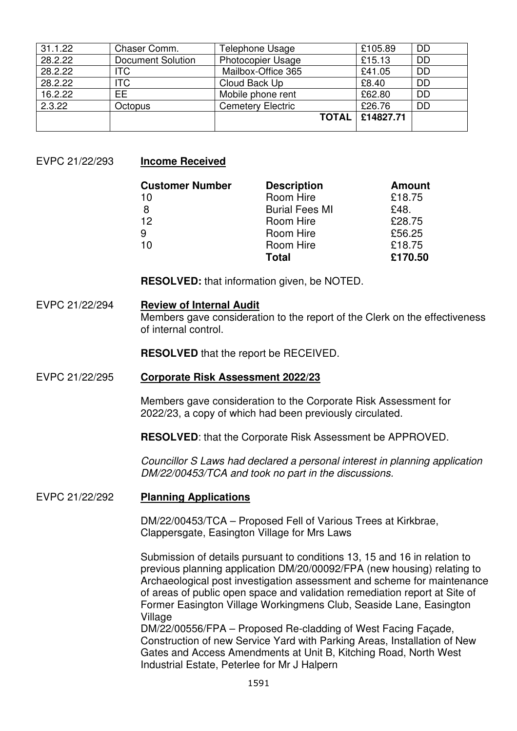| 31.1.22 | Chaser Comm.             | Telephone Usage          | £105.89   | <b>DD</b> |
|---------|--------------------------|--------------------------|-----------|-----------|
| 28.2.22 | <b>Document Solution</b> | <b>Photocopier Usage</b> | £15.13    | <b>DD</b> |
| 28.2.22 | <b>ITC</b>               | Mailbox-Office 365       | £41.05    | <b>DD</b> |
| 28.2.22 | <b>ITC</b>               | Cloud Back Up            | £8.40     | <b>DD</b> |
| 16.2.22 | EE                       | Mobile phone rent        | £62.80    | <b>DD</b> |
| 2.3.22  | Octopus                  | <b>Cemetery Electric</b> | £26.76    | <b>DD</b> |
|         |                          | <b>TOTAL</b>             | £14827.71 |           |
|         |                          |                          |           |           |

EVPC 21/22/293 **Income Received** 

| <b>Customer Number</b> | <b>Description</b>    | <b>Amount</b> |
|------------------------|-----------------------|---------------|
| 10                     | Room Hire             | £18.75        |
| 8                      | <b>Burial Fees MI</b> | £48.          |
| 12                     | Room Hire             | £28.75        |
| 9                      | Room Hire             | £56.25        |
| 10                     | Room Hire             | £18.75        |
|                        | <b>Total</b>          | £170.50       |

**RESOLVED:** that information given, be NOTED.

#### EVPC 21/22/294 **Review of Internal Audit**

Members gave consideration to the report of the Clerk on the effectiveness of internal control.

**RESOLVED** that the report be RECEIVED.

#### EVPC 21/22/295 **Corporate Risk Assessment 2022/23**

Members gave consideration to the Corporate Risk Assessment for 2022/23, a copy of which had been previously circulated.

**RESOLVED**: that the Corporate Risk Assessment be APPROVED.

Councillor S Laws had declared a personal interest in planning application DM/22/00453/TCA and took no part in the discussions.

#### EVPC 21/22/292 **Planning Applications**

DM/22/00453/TCA – Proposed Fell of Various Trees at Kirkbrae, Clappersgate, Easington Village for Mrs Laws

Submission of details pursuant to conditions 13, 15 and 16 in relation to previous planning application DM/20/00092/FPA (new housing) relating to Archaeological post investigation assessment and scheme for maintenance of areas of public open space and validation remediation report at Site of Former Easington Village Workingmens Club, Seaside Lane, Easington Village

DM/22/00556/FPA – Proposed Re-cladding of West Facing Façade, Construction of new Service Yard with Parking Areas, Installation of New Gates and Access Amendments at Unit B, Kitching Road, North West Industrial Estate, Peterlee for Mr J Halpern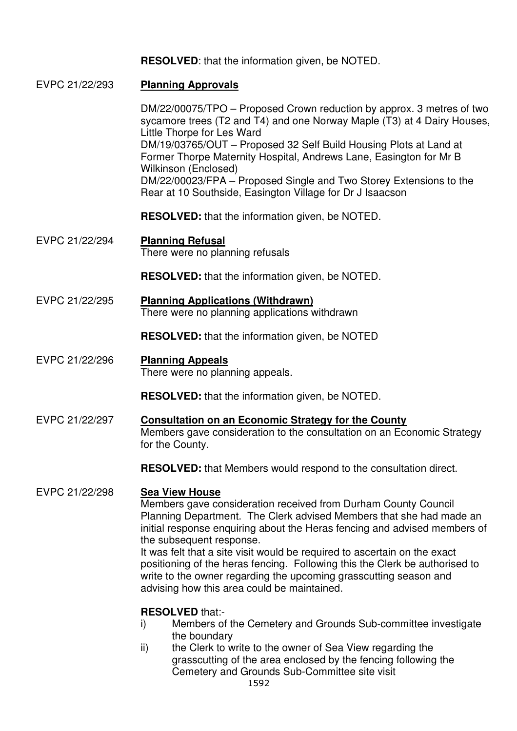**RESOLVED**: that the information given, be NOTED.

- EVPC 21/22/293 **Planning Approvals**  DM/22/00075/TPO – Proposed Crown reduction by approx. 3 metres of two sycamore trees (T2 and T4) and one Norway Maple (T3) at 4 Dairy Houses, Little Thorpe for Les Ward DM/19/03765/OUT – Proposed 32 Self Build Housing Plots at Land at Former Thorpe Maternity Hospital, Andrews Lane, Easington for Mr B Wilkinson (Enclosed) DM/22/00023/FPA – Proposed Single and Two Storey Extensions to the Rear at 10 Southside, Easington Village for Dr J Isaacson **RESOLVED:** that the information given, be NOTED. EVPC 21/22/294 **Planning Refusal**  There were no planning refusals **RESOLVED:** that the information given, be NOTED. EVPC 21/22/295 **Planning Applications (Withdrawn)**  There were no planning applications withdrawn **RESOLVED:** that the information given, be NOTED EVPC 21/22/296 **Planning Appeals**  There were no planning appeals. **RESOLVED:** that the information given, be NOTED. EVPC 21/22/297 **Consultation on an Economic Strategy for the County** Members gave consideration to the consultation on an Economic Strategy for the County. **RESOLVED:** that Members would respond to the consultation direct. EVPC 21/22/298 **Sea View House** Members gave consideration received from Durham County Council Planning Department. The Clerk advised Members that she had made an initial response enquiring about the Heras fencing and advised members of the subsequent response. It was felt that a site visit would be required to ascertain on the exact positioning of the heras fencing. Following this the Clerk be authorised to write to the owner regarding the upcoming grasscutting season and advising how this area could be maintained. **RESOLVED** that: i) Members of the Cemetery and Grounds Sub-committee investigate the boundary
	- ii) the Clerk to write to the owner of Sea View regarding the grasscutting of the area enclosed by the fencing following the Cemetery and Grounds Sub-Committee site visit